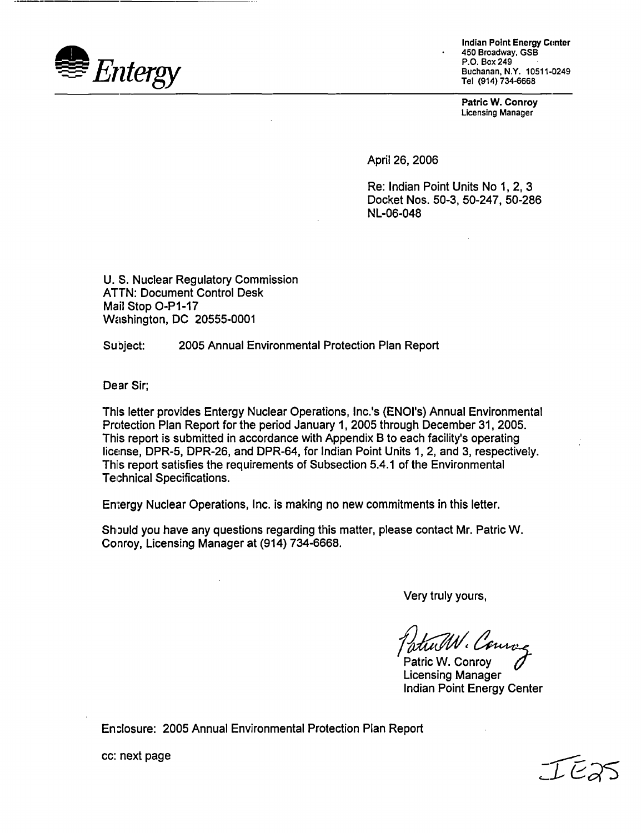

Indian Point Energy Conter 450 Broadway, GSB P.O. Box 249 Buchanan, N.Y. 10511-0249 Tel (914) 734-6668

**Patric W. Conroy** Licensing Manager

April 26, 2006

Re: Indian Point Units No 1, 2, 3 Docket Nos. 50-3, 50-247, 50-286 NL-06-048

U. S. Nuclear Regulatory Commission ATTN: Document Control Desk Mail Stop O-Pl-17 Washington, DC 20555-0001

Subject: 2005 Annual Environmental Protection Plan Report

Dear Sir;

This letter provides Entergy Nuclear Operations, Inc.'s (ENO's) Annual Environmental Protection Plan Report for the period January 1, 2005 through December 31, 2005. This report is submitted in accordance with Appendix B to each facility's operating license, DPR-5, DPR-26, and DPR-64, for Indian Point Units 1, 2, and 3, respectively. This report satisfies the requirements of Subsection 5.4.1 of the Environmental Technical Specifications.

Entergy Nuclear Operations, Inc. is making no new commitments in this letter.

Should you have any questions regarding this matter, please contact Mr. Patric W. Conroy, Licensing Manager at (914) 734-6668.

Very truly yours,

N. Cours

Patric W. Conroy Licensing Manager Indian Point Energy Center

En.losure: 2005 Annual Environmental Protection Plan Report

c *-,RSS*

cc: next page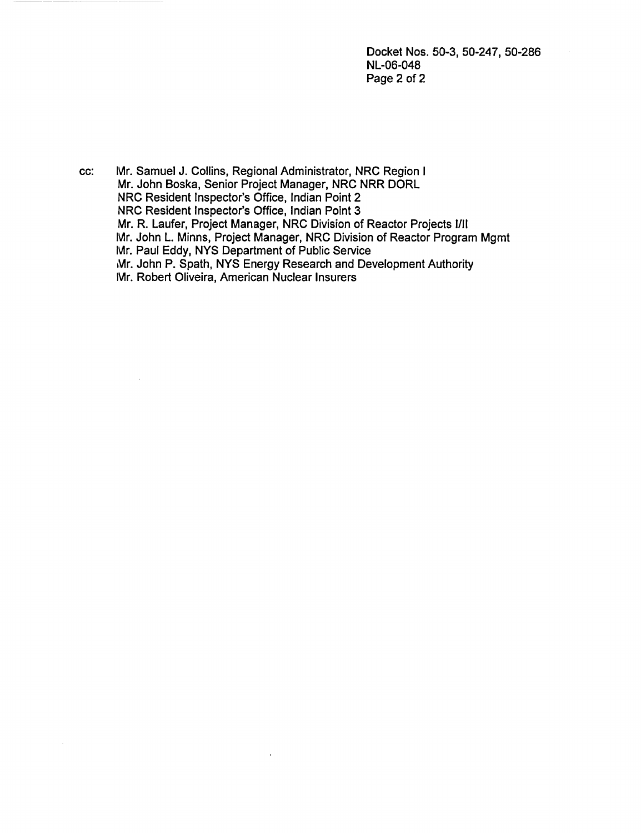Docket Nos. 50-3, 50-247, 50-286 NL-06-048 Page 2 of 2

cc: Mr. Samuel J. Collins, Regional Administrator, NRC Region I Mr. John Boska, Senior Project Manager, NRC NRR DORL NRC Resident Inspector's Office, Indian Point 2 NRC Resident Inspector's Office, Indian Point 3 Mr. R. Laufer, Project Manager, NRC Division of Reactor Projects 1/11 Mr. John L. Minns, Project Manager, NRC Division of Reactor Program Mgmt Mr. Paul Eddy, NYS Department of Public Service Mr. John P. Spath, NYS Energy Research and Development Authority Mr. Robert Oliveira, American Nuclear Insurers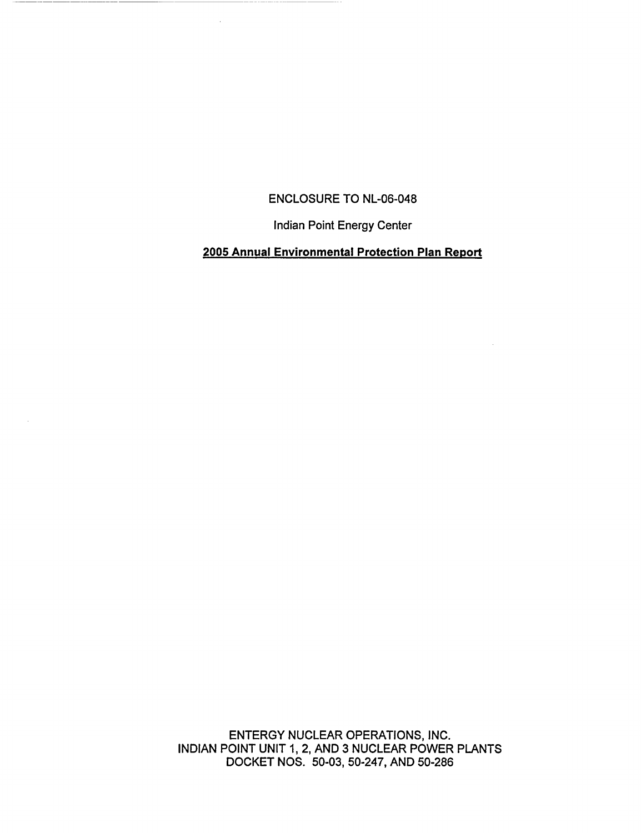## ENCLOSURE TO NL-06-048

 $\mathcal{L}_{\mathcal{A}}$ 

Indian Point Energy Center

# **2005 Annual Environmental Protection Plan Report**

ENTERGY NUCLEAR OPERATIONS, INC. INDIAN POINT UNIT 1, 2, AND 3 NUCLEAR POWER PLANTS DOCKET NOS. 50-03, 50-247, AND 50-286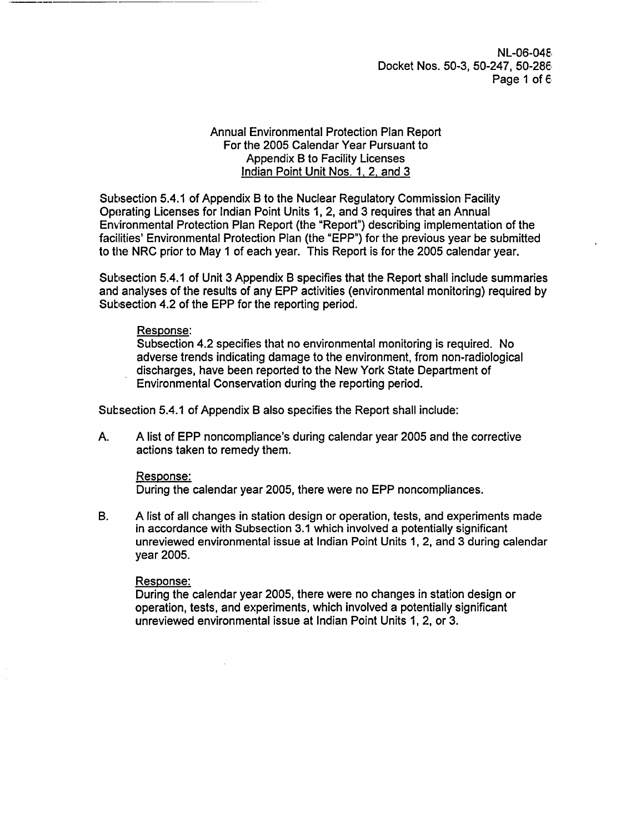NL-06-04E. Docket Nos. 50-3, 50-247, 50-286 Page 1 of 6.

### Annual Environmental Protection Plan Report For the 2005 Calendar Year Pursuant to Appendix B to Facility Licenses Indian Point Unit Nos. 1. 2. and 3

Subsection 5.4.1 of Appendix B to the Nuclear Regulatory Commission Facility Operating Licenses for Indian Point Units 1, 2, and 3 requires that an Annual Environmental Protection Plan Report (the "Report") describing implementation of the facilities' Environmental Protection Plan (the 'EPP") for the previous year be submitted to the NRC prior to May 1 of each year. This Report is for the 2005 calendar year.

Subsection 5.4.1 of Unit 3 Appendix B specifies that the Report shall include summaries and analyses of the results of any EPP activities (environmental monitoring) required by Subsection 4.2 of the EPP for the reporting period.

#### Response:

Subsection 4.2 specifies that no environmental monitoring is required. No adverse trends indicating damage to the environment, from non-radiological discharges, have been reported to the New York State Department of Environmental Conservation during the reporting period.

Subsection 5.4.1 of Appendix B also specifies the Report shall include:

A. A list of EPP noncompliance's during calendar year 2005 and the corrective actions taken to remedy them.

## Response:

During the calendar year 2005, there were no EPP noncompliances.

B. A list of all changes in station design or operation, tests, and experiments made in accordance with Subsection 3.1 which involved a potentially significant unreviewed environmental issue at Indian Point Units 1, 2, and 3 during calendar year 2005.

#### Response:

During the calendar year 2005, there were no changes in station design or operation, tests, and experiments, which involved a potentially significant unreviewed environmental issue at Indian Point Units 1, 2, or 3.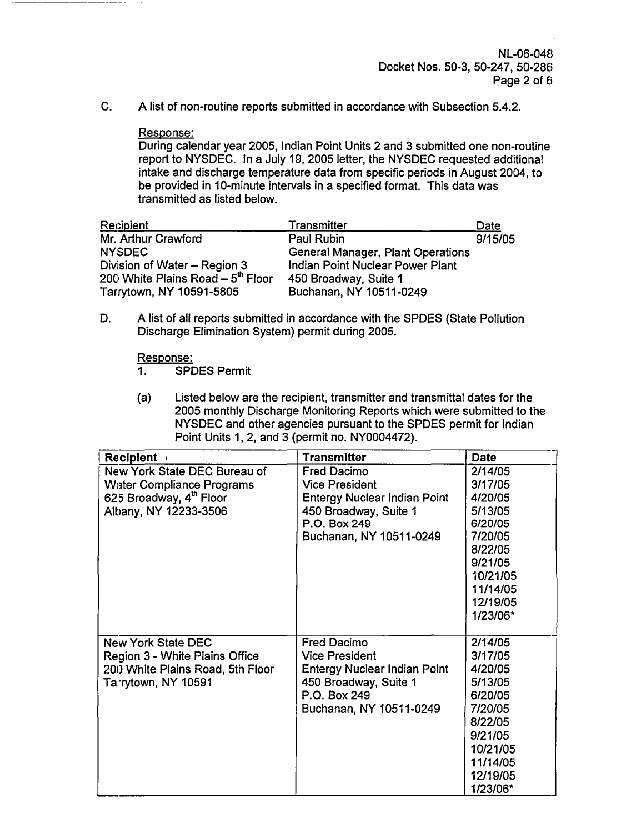NL-06-048 Docket Nos. 50-3, 50-247, 50-286 Page 2 of 6

C. A list of non-routine reports submitted in accordance with Subsection 5.4.2.

### Response:

During calendar year 2005, Indian Point Units 2 and 3 submitted one non-routine report to NYSDEC. In a July 19, 2005 letter, the NYSDEC requested additional intake and discharge temperature data from specific periods in August 2004, to be provided in 10-minute intervals in a specified format. This data was transmitted as listed below.

| <b>Recipient</b>                              | <b>Transmitter</b>                       | Date    |
|-----------------------------------------------|------------------------------------------|---------|
| Mr. Arthur Crawford                           | Paul Rubin                               | 9/15/05 |
| <b>NYSDEC</b>                                 | <b>General Manager, Plant Operations</b> |         |
| Division of Water - Region 3                  | Indian Point Nuclear Power Plant         |         |
| 200 White Plains Road - 5 <sup>th</sup> Floor | 450 Broadway, Suite 1                    |         |
| Tarrytown, NY 10591-5805                      | Buchanan, NY 10511-0249                  |         |

D. A list of all reports submitted in accordance with the SPDES (State Pollution Discharge Elimination System) permit during 2005.

Response:

- 1. SPDES Permit
- (a) Listed below are the recipient, transmitter and transmittal dates for the 2005 monthly Discharge Monitoring Reports which were submitted to the NYSDEC and other agencies pursuant to the SPDES permit for Indian Point Units 1, 2, and 3 (permit no. NY0004472).

| <b>Recipient</b>                 | <b>Transmitter</b>                  | <b>Date</b> |
|----------------------------------|-------------------------------------|-------------|
| New York State DEC Bureau of     | <b>Fred Dacimo</b>                  | 2/14/05     |
| <b>Water Compliance Programs</b> | <b>Vice President</b>               | 3/17/05     |
| 625 Broadway, 4th Floor          | <b>Entergy Nuclear Indian Point</b> | 4/20/05     |
| Albany, NY 12233-3506            | 450 Broadway, Suite 1               | 5/13/05     |
|                                  | P.O. Box 249                        | 6/20/05     |
|                                  | Buchanan, NY 10511-0249             | 7/20/05     |
|                                  |                                     | 8/22/05     |
|                                  |                                     | 9/21/05     |
|                                  |                                     | 10/21/05    |
|                                  |                                     | 11/14/05    |
|                                  |                                     | 12/19/05    |
|                                  |                                     | 1/23/06*    |
|                                  |                                     |             |
| <b>New York State DEC</b>        | <b>Fred Dacimo</b>                  | 2/14/05     |
| Region 3 - White Plains Office   | <b>Vice President</b>               | 3/17/05     |
| 200 White Plains Road, 5th Floor | <b>Entergy Nuclear Indian Point</b> | 4/20/05     |
| Tarrytown, NY 10591              | 450 Broadway, Suite 1               | 5/13/05     |
|                                  | P.O. Box 249                        | 6/20/05     |
|                                  | Buchanan, NY 10511-0249             | 7/20/05     |
|                                  |                                     | 8/22/05     |
|                                  |                                     | 9/21/05     |
|                                  |                                     | 10/21/05    |
|                                  |                                     | 11/14/05    |
|                                  |                                     | 12/19/05    |
|                                  |                                     | 1/23/06*    |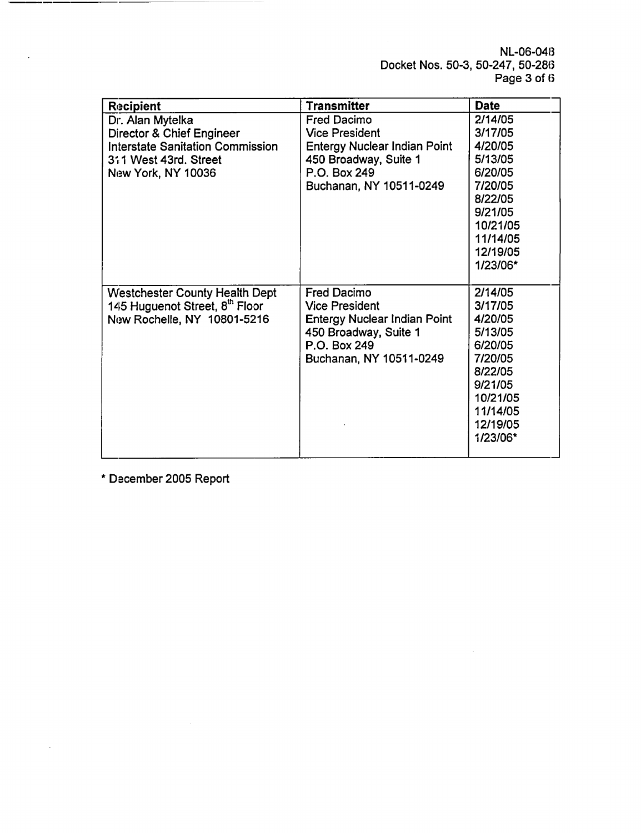NL-06-048 Docket Nos. 50-3, 50-247, 50-286 Page 3 of 6

| <b>Recipient</b>                        | <b>Transmitter</b>                  | <b>Date</b> |
|-----------------------------------------|-------------------------------------|-------------|
| Dr. Alan Mytelka                        | <b>Fred Dacimo</b>                  | 2/14/05     |
| Director & Chief Engineer               | <b>Vice President</b>               | 3/17/05     |
| <b>Interstate Sanitation Commission</b> | <b>Entergy Nuclear Indian Point</b> | 4/20/05     |
| 311 West 43rd. Street                   | 450 Broadway, Suite 1               | 5/13/05     |
| New York, NY 10036                      | P.O. Box 249                        | 6/20/05     |
|                                         | Buchanan, NY 10511-0249             | 7/20/05     |
|                                         |                                     | 8/22/05     |
|                                         |                                     | 9/21/05     |
|                                         |                                     | 10/21/05    |
|                                         |                                     | 11/14/05    |
|                                         |                                     | 12/19/05    |
|                                         |                                     | 1/23/06*    |
|                                         |                                     |             |
| <b>Westchester County Health Dept</b>   | <b>Fred Dacimo</b>                  | 2/14/05     |
| 145 Huguenot Street, 8th Floor          | <b>Vice President</b>               | 3/17/05     |
| New Rochelle, NY 10801-5216             | <b>Entergy Nuclear Indian Point</b> | 4/20/05     |
|                                         | 450 Broadway, Suite 1               | 5/13/05     |
|                                         | P.O. Box 249                        | 6/20/05     |
|                                         | Buchanan, NY 10511-0249             | 7/20/05     |
|                                         |                                     | 8/22/05     |
|                                         |                                     | 9/21/05     |
|                                         |                                     | 10/21/05    |
|                                         |                                     | 11/14/05    |
|                                         |                                     | 12/19/05    |
|                                         |                                     | 1/23/06*    |
|                                         |                                     |             |

\* December 2005 Report

÷,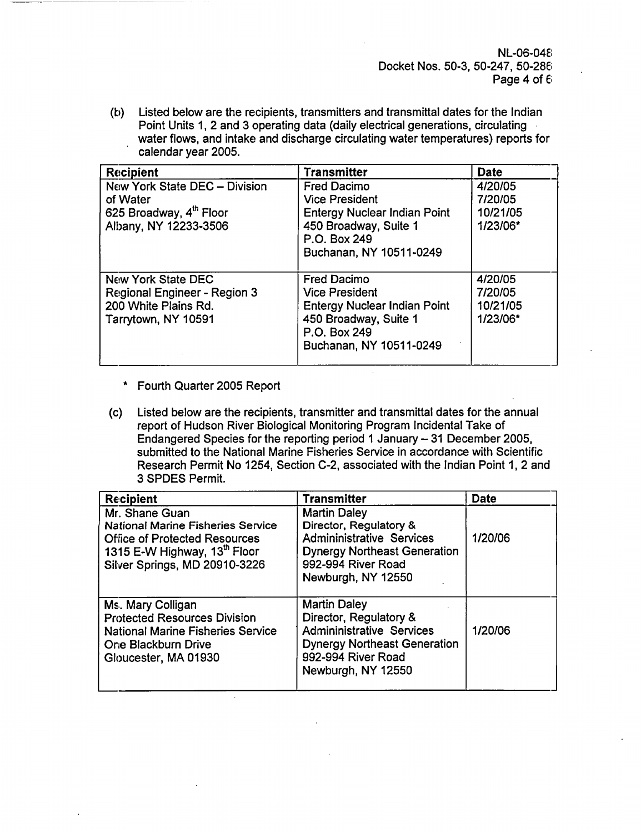NL-06-04E8 Docket Nos. 50-3, 50-247, 50-286 Page 4 of 6

(b) Listed below are the recipients, transmitters and transmittal dates for the Indian Point Units 1, 2 and 3 operating data (daily electrical generations, circulating water flows, and intake and discharge circulating water temperatures) reports for calendar year 2005.

| <b>Recipient</b>                                                                                          | <b>Transmitter</b>                                                                                                                                     | <b>Date</b>                                |
|-----------------------------------------------------------------------------------------------------------|--------------------------------------------------------------------------------------------------------------------------------------------------------|--------------------------------------------|
| New York State DEC - Division<br>of Water<br>625 Broadway, 4 <sup>th</sup> Floor<br>Albany, NY 12233-3506 | <b>Fred Dacimo</b><br><b>Vice President</b><br><b>Entergy Nuclear Indian Point</b><br>450 Broadway, Suite 1<br>P.O. Box 249<br>Buchanan, NY 10511-0249 | 4/20/05<br>7/20/05<br>10/21/05<br>1/23/06* |
| New York State DEC<br>Regional Engineer - Region 3<br>200 White Plains Rd.<br>Tarrytown, NY 10591         | <b>Fred Dacimo</b><br><b>Vice President</b><br><b>Entergy Nuclear Indian Point</b><br>450 Broadway, Suite 1<br>P.O. Box 249<br>Buchanan, NY 10511-0249 | 4/20/05<br>7/20/05<br>10/21/05<br>1/23/06* |

- \* Fourth Quarter 2005 Report
- (c) Listed below are the recipients, transmitter and transmittal dates for the annual report of Hudson River Biological Monitoring Program Incidental Take of Endangered Species for the reporting period 1 January - 31 December 2005, submitted to the National Marine Fisheries Service in accordance with Scientific Research Permit No 1254, Section C-2, associated with the Indian Point 1, 2 and 3 SPDES Permit.

| <b>Recipient</b>                                                                                                                                                    | <b>Transmitter</b>                                                                                                                                                   | <b>Date</b> |
|---------------------------------------------------------------------------------------------------------------------------------------------------------------------|----------------------------------------------------------------------------------------------------------------------------------------------------------------------|-------------|
| Mr. Shane Guan<br><b>National Marine Fisheries Service</b><br><b>Office of Protected Resources</b><br>1315 E-W Highway, 13th Floor<br>Silver Springs, MD 20910-3226 | <b>Martin Daley</b><br>Director, Regulatory &<br><b>Admininistrative Services</b><br><b>Dynergy Northeast Generation</b><br>992-994 River Road<br>Newburgh, NY 12550 | 1/20/06     |
| Ms. Mary Colligan<br><b>Protected Resources Division</b><br><b>National Marine Fisheries Service</b><br>One Blackburn Drive<br>Gloucester, MA 01930                 | <b>Martin Daley</b><br>Director, Regulatory &<br><b>Admininistrative Services</b><br><b>Dynergy Northeast Generation</b><br>992-994 River Road<br>Newburgh, NY 12550 | 1/20/06     |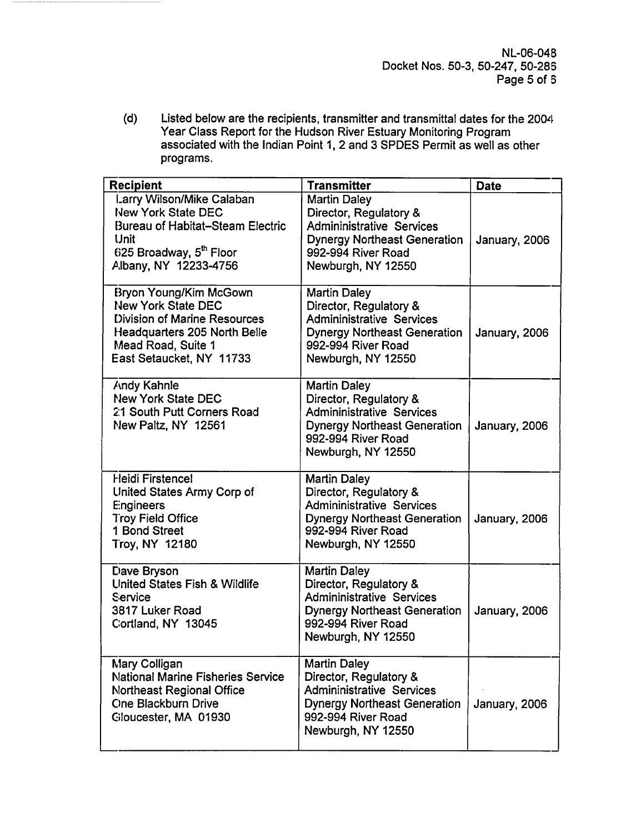NL-06-04B Docket Nos. 50-3, 50-247, 50-285 Page 5 of 6

(d) Listed below are the recipients, transmitter and transmittal dates for the 2004 Year Class Report for the Hudson River Estuary Monitoring Program associated with the Indian Point 1, 2 and 3 SPDES Permit as well as other programs.

| <b>Recipient</b>                                                                                                                                                                    | <b>Transmitter</b>                                                                                                                                                   | <b>Date</b>   |
|-------------------------------------------------------------------------------------------------------------------------------------------------------------------------------------|----------------------------------------------------------------------------------------------------------------------------------------------------------------------|---------------|
| Larry Wilson/Mike Calaban<br><b>New York State DEC</b><br><b>Bureau of Habitat-Steam Electric</b><br>Unit<br>625 Broadway, 5 <sup>th</sup> Floor<br>Albany, NY 12233-4756           | <b>Martin Daley</b><br>Director, Regulatory &<br><b>Admininistrative Services</b><br><b>Dynergy Northeast Generation</b><br>992-994 River Road<br>Newburgh, NY 12550 | January, 2006 |
| <b>Bryon Young/Kim McGown</b><br><b>New York State DEC</b><br>Division of Marine Resources<br><b>Headquarters 205 North Belle</b><br>Mead Road, Suite 1<br>East Setaucket, NY 11733 | <b>Martin Daley</b><br>Director, Regulatory &<br><b>Admininistrative Services</b><br><b>Dynergy Northeast Generation</b><br>992-994 River Road<br>Newburgh, NY 12550 | January, 2006 |
| <b>Andy Kahnle</b><br><b>New York State DEC</b><br>21 South Putt Corners Road<br>New Paltz, NY 12561                                                                                | <b>Martin Daley</b><br>Director, Regulatory &<br><b>Admininistrative Services</b><br><b>Dynergy Northeast Generation</b><br>992-994 River Road<br>Newburgh, NY 12550 | January, 2006 |
| Heidi Firstencel<br>United States Army Corp of<br>Engineers<br><b>Troy Field Office</b><br>1 Bond Street<br>Troy, NY 12180                                                          | <b>Martin Daley</b><br>Director, Regulatory &<br><b>Admininistrative Services</b><br><b>Dynergy Northeast Generation</b><br>992-994 River Road<br>Newburgh, NY 12550 | January, 2006 |
| Dave Bryson<br><b>United States Fish &amp; Wildlife</b><br>Service<br>3817 Luker Road<br>Cortland, NY 13045                                                                         | <b>Martin Daley</b><br>Director, Regulatory &<br><b>Admininistrative Services</b><br><b>Dynergy Northeast Generation</b><br>992-994 River Road<br>Newburgh, NY 12550 | January, 2006 |
| Mary Colligan<br><b>National Marine Fisheries Service</b><br><b>Northeast Regional Office</b><br><b>One Blackburn Drive</b><br>Giloucester, MA 01930                                | <b>Martin Daley</b><br>Director, Regulatory &<br><b>Admininistrative Services</b><br><b>Dynergy Northeast Generation</b><br>992-994 River Road<br>Newburgh, NY 12550 | January, 2006 |